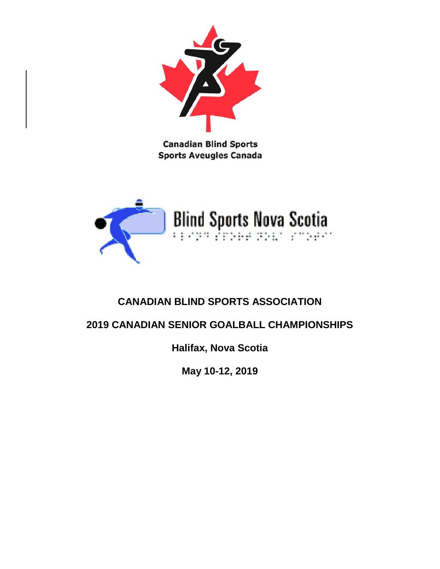

**Canadian Blind Sports Sports Aveugles Canada** 



# **CANADIAN BLIND SPORTS ASSOCIATION**

# **2019 CANADIAN SENIOR GOALBALL CHAMPIONSHIPS**

**Halifax, Nova Scotia**

**May 10-12, 2019**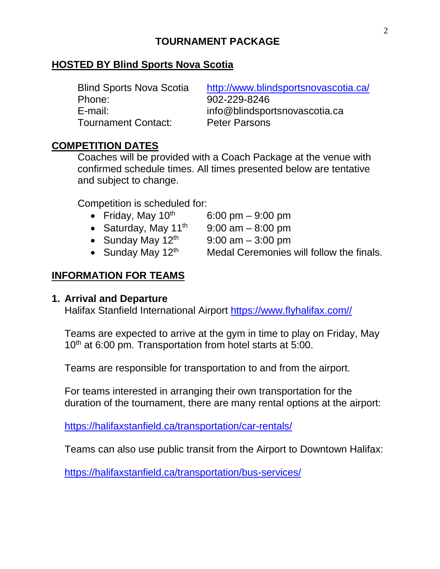## **TOURNAMENT PACKAGE**

### **HOSTED BY Blind Sports Nova Scotia**

| <b>Blind Sports Nova Scotia</b> | http://www.blindsportsnovascotia.ca/ |
|---------------------------------|--------------------------------------|
| Phone:                          | 902-229-8246                         |
| E-mail:                         | info@blindsportsnovascotia.ca        |
| <b>Tournament Contact:</b>      | <b>Peter Parsons</b>                 |

## **COMPETITION DATES**

Coaches will be provided with a Coach Package at the venue with confirmed schedule times. All times presented below are tentative and subject to change.

Competition is scheduled for:

- Friday, May  $10^{th}$  6:00 pm 9:00 pm
- Saturday, May  $11<sup>th</sup>$  9:00 am 8:00 pm
- Sunday May  $12^{th}$  9:00 am  $-$  3:00 pm
- Sunday May  $12<sup>th</sup>$  Medal Ceremonies will follow the finals.

## **INFORMATION FOR TEAMS**

### **1. Arrival and Departure**

Halifax Stanfield International Airport [https://www.flyhalifax.com//](https://www.flyhalifax.com/)

Teams are expected to arrive at the gym in time to play on Friday, May 10<sup>th</sup> at 6:00 pm. Transportation from hotel starts at 5:00.

Teams are responsible for transportation to and from the airport.

For teams interested in arranging their own transportation for the duration of the tournament, there are many rental options at the airport:

<https://halifaxstanfield.ca/transportation/car-rentals/>

Teams can also use public transit from the Airport to Downtown Halifax:

<https://halifaxstanfield.ca/transportation/bus-services/>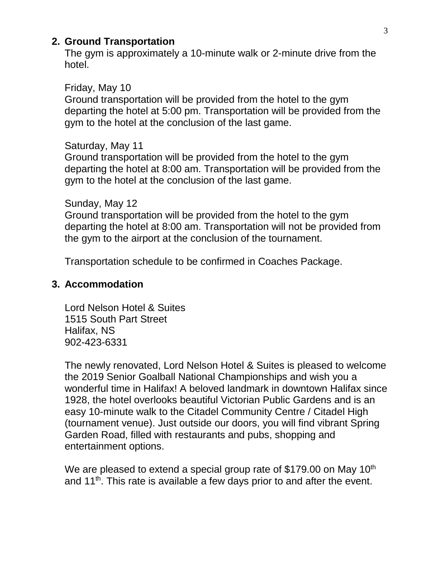### **2. Ground Transportation**

The gym is approximately a 10-minute walk or 2-minute drive from the hotel.

#### Friday, May 10

Ground transportation will be provided from the hotel to the gym departing the hotel at 5:00 pm. Transportation will be provided from the gym to the hotel at the conclusion of the last game.

#### Saturday, May 11

Ground transportation will be provided from the hotel to the gym departing the hotel at 8:00 am. Transportation will be provided from the gym to the hotel at the conclusion of the last game.

#### Sunday, May 12

Ground transportation will be provided from the hotel to the gym departing the hotel at 8:00 am. Transportation will not be provided from the gym to the airport at the conclusion of the tournament.

Transportation schedule to be confirmed in Coaches Package.

### **3. Accommodation**

Lord Nelson Hotel & Suites 1515 South Part Street Halifax, NS 902-423-6331

The newly renovated, Lord Nelson Hotel & Suites is pleased to welcome the 2019 Senior Goalball National Championships and wish you a wonderful time in Halifax! A beloved landmark in downtown Halifax since 1928, the hotel overlooks beautiful Victorian Public Gardens and is an easy 10-minute walk to the Citadel Community Centre / Citadel High (tournament venue). Just outside our doors, you will find vibrant Spring Garden Road, filled with restaurants and pubs, shopping and entertainment options.

We are pleased to extend a special group rate of \$179.00 on May 10<sup>th</sup> and 11<sup>th</sup>. This rate is available a few days prior to and after the event.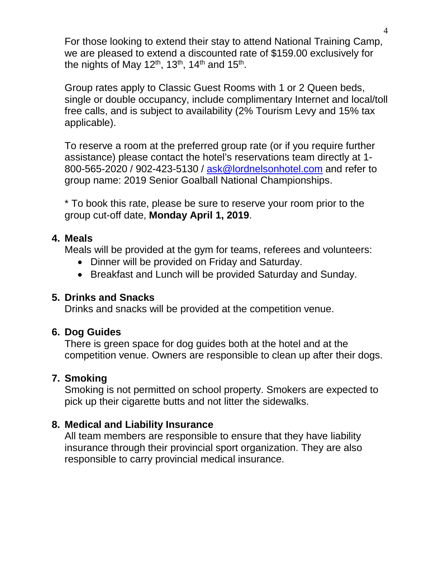For those looking to extend their stay to attend National Training Camp, we are pleased to extend a discounted rate of \$159.00 exclusively for the nights of May 12<sup>th</sup>, 13<sup>th</sup>, 14<sup>th</sup> and 15<sup>th</sup>.

Group rates apply to Classic Guest Rooms with 1 or 2 Queen beds, single or double occupancy, include complimentary Internet and local/toll free calls, and is subject to availability (2% Tourism Levy and 15% tax applicable).

To reserve a room at the preferred group rate (or if you require further assistance) please contact the hotel's reservations team directly at 1 800-565-2020 / 902-423-5130 / [ask@lordnelsonhotel.com](mailto:ask@lordnelsonhotel.com) and refer to group name: 2019 Senior Goalball National Championships.

\* To book this rate, please be sure to reserve your room prior to the group cut-off date, **Monday April 1, 2019**.

## **4. Meals**

Meals will be provided at the gym for teams, referees and volunteers:

- Dinner will be provided on Friday and Saturday.
- Breakfast and Lunch will be provided Saturday and Sunday.

## **5. Drinks and Snacks**

Drinks and snacks will be provided at the competition venue.

## **6. Dog Guides**

There is green space for dog guides both at the hotel and at the competition venue. Owners are responsible to clean up after their dogs.

## **7. Smoking**

Smoking is not permitted on school property. Smokers are expected to pick up their cigarette butts and not litter the sidewalks.

## **8. Medical and Liability Insurance**

All team members are responsible to ensure that they have liability insurance through their provincial sport organization. They are also responsible to carry provincial medical insurance.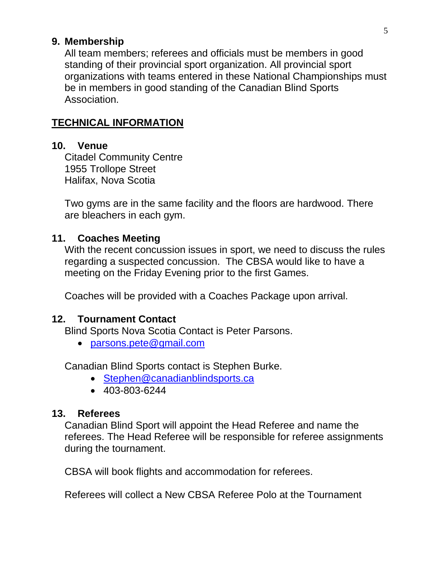### **9. Membership**

All team members; referees and officials must be members in good standing of their provincial sport organization. All provincial sport organizations with teams entered in these National Championships must be in members in good standing of the Canadian Blind Sports Association.

### **TECHNICAL INFORMATION**

### **10. Venue**

Citadel Community Centre 1955 Trollope Street Halifax, Nova Scotia

Two gyms are in the same facility and the floors are hardwood. There are bleachers in each gym.

### **11. Coaches Meeting**

With the recent concussion issues in sport, we need to discuss the rules regarding a suspected concussion. The CBSA would like to have a meeting on the Friday Evening prior to the first Games.

Coaches will be provided with a Coaches Package upon arrival.

### **12. Tournament Contact**

Blind Sports Nova Scotia Contact is Peter Parsons.

• [parsons.pete@gmail.com](mailto:parsons.pete@gmail.com)

Canadian Blind Sports contact is Stephen Burke.

- [Stephen@canadianblindsports.ca](mailto:Stephen@canadianblindsports.ca)
- 403-803-6244

### **13. Referees**

Canadian Blind Sport will appoint the Head Referee and name the referees. The Head Referee will be responsible for referee assignments during the tournament.

CBSA will book flights and accommodation for referees.

Referees will collect a New CBSA Referee Polo at the Tournament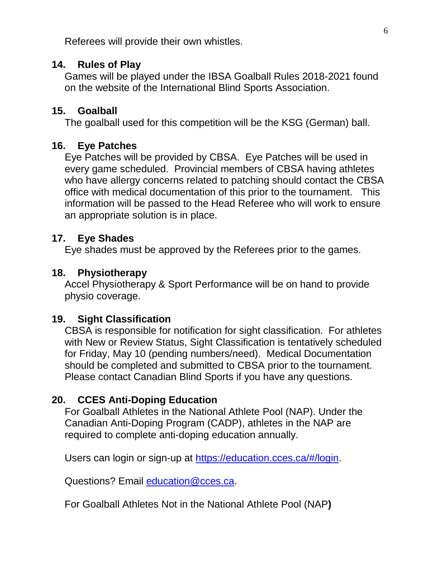Referees will provide their own whistles.

### **14. Rules of Play**

Games will be played under the IBSA Goalball Rules 2018-2021 found on the website of the International Blind Sports Association.

#### **15. Goalball**

The goalball used for this competition will be the KSG (German) ball.

### **16. Eye Patches**

Eye Patches will be provided by CBSA. Eye Patches will be used in every game scheduled. Provincial members of CBSA having athletes who have allergy concerns related to patching should contact the CBSA office with medical documentation of this prior to the tournament. This information will be passed to the Head Referee who will work to ensure an appropriate solution is in place.

### **17. Eye Shades**

Eye shades must be approved by the Referees prior to the games.

#### **18. Physiotherapy**

Accel Physiotherapy & Sport Performance will be on hand to provide physio coverage.

#### **19. Sight Classification**

CBSA is responsible for notification for sight classification. For athletes with New or Review Status, Sight Classification is tentatively scheduled for Friday, May 10 (pending numbers/need). Medical Documentation should be completed and submitted to CBSA prior to the tournament. Please contact Canadian Blind Sports if you have any questions.

### **20. CCES Anti-Doping Education**

For Goalball Athletes in the National Athlete Pool (NAP). Under the Canadian Anti-Doping Program (CADP), athletes in the NAP are required to complete anti-doping education annually.

Users can login or sign-up at [https://education.cces.ca/#/login.](https://education.cces.ca/#/login)

Questions? Email [education@cces.ca.](mailto:education@cces.ca)

For Goalball Athletes Not in the National Athlete Pool (NAP**)**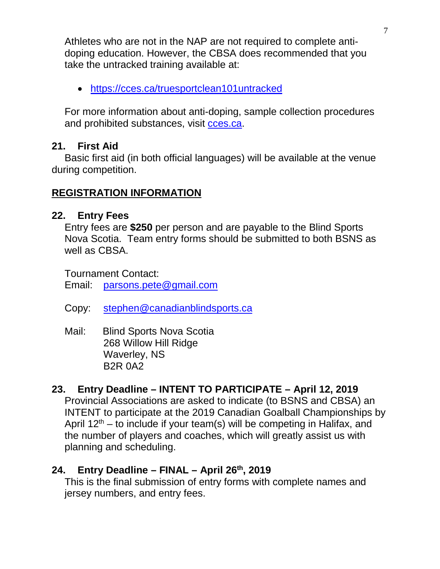Athletes who are not in the NAP are not required to complete antidoping education. However, the CBSA does recommended that you take the untracked training available at:

• <https://cces.ca/truesportclean101untracked>

For more information about anti-doping, sample collection procedures and prohibited substances, visit [cces.ca.](https://cces.ca/)

## **21. First Aid**

Basic first aid (in both official languages) will be available at the venue during competition.

## **REGISTRATION INFORMATION**

## **22. Entry Fees**

Entry fees are **\$250** per person and are payable to the Blind Sports Nova Scotia. Team entry forms should be submitted to both BSNS as well as CBSA.

Tournament Contact:

Email: [parsons.pete@gmail.com](mailto:parsons.pete@gmail.com)

- Copy: [stephen@canadianblindsports.ca](mailto:stephen@canadianblindsports.ca)
- Mail: Blind Sports Nova Scotia 268 Willow Hill Ridge Waverley, NS B2R 0A2

## **23. Entry Deadline – INTENT TO PARTICIPATE – April 12, 2019**

Provincial Associations are asked to indicate (to BSNS and CBSA) an INTENT to participate at the 2019 Canadian Goalball Championships by April  $12<sup>th</sup>$  – to include if your team(s) will be competing in Halifax, and the number of players and coaches, which will greatly assist us with planning and scheduling.

## **24. Entry Deadline – FINAL – April 26th, 2019**

This is the final submission of entry forms with complete names and jersey numbers, and entry fees.